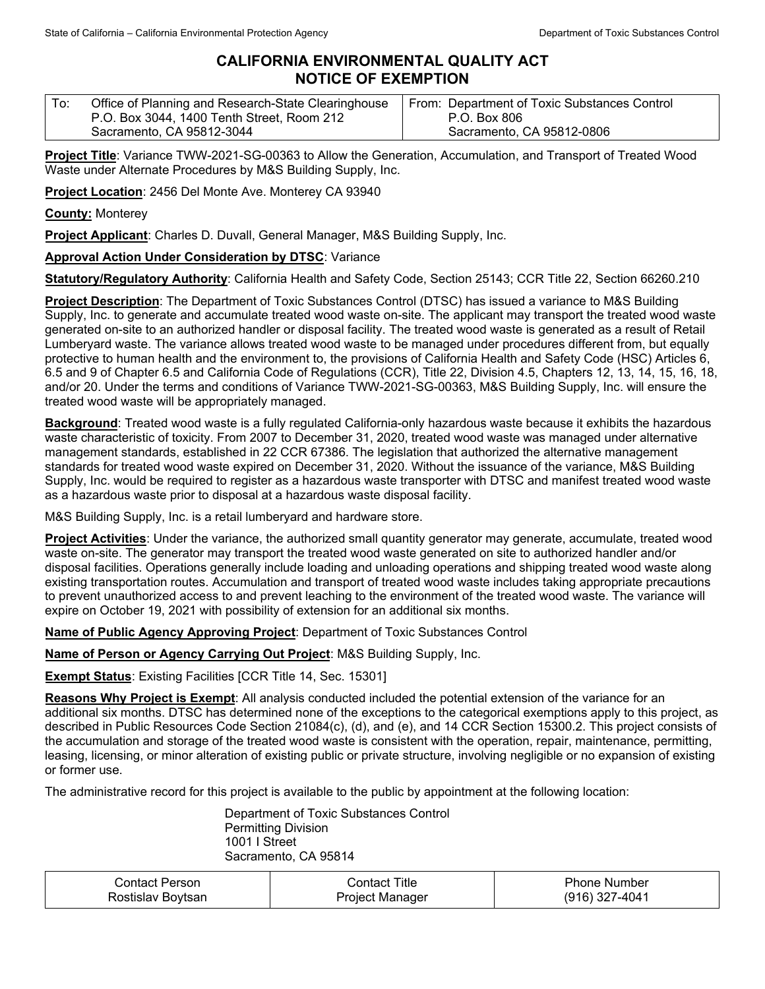## **CALIFORNIA ENVIRONMENTAL QUALITY ACT NOTICE OF EXEMPTION**

| To: | Office of Planning and Research-State Clearinghouse | From: Department of Toxic Substances Control |
|-----|-----------------------------------------------------|----------------------------------------------|
|     | P.O. Box 3044, 1400 Tenth Street, Room 212          | P.O. Box 806                                 |
|     | Sacramento, CA 95812-3044                           | Sacramento, CA 95812-0806                    |

**Project Title**: Variance TWW-2021-SG-00363 to Allow the Generation, Accumulation, and Transport of Treated Wood Waste under Alternate Procedures by M&S Building Supply, Inc.

**Project Location**: 2456 Del Monte Ave. Monterey CA 93940

**County:** Monterey

**Project Applicant**: Charles D. Duvall, General Manager, M&S Building Supply, Inc.

## **Approval Action Under Consideration by DTSC**: Variance

**Statutory/Regulatory Authority**: California Health and Safety Code, Section 25143; CCR Title 22, Section 66260.210

**Project Description**: The Department of Toxic Substances Control (DTSC) has issued a variance to M&S Building Supply, Inc. to generate and accumulate treated wood waste on-site. The applicant may transport the treated wood waste generated on-site to an authorized handler or disposal facility. The treated wood waste is generated as a result of Retail Lumberyard waste. The variance allows treated wood waste to be managed under procedures different from, but equally protective to human health and the environment to, the provisions of California Health and Safety Code (HSC) Articles 6, 6.5 and 9 of Chapter 6.5 and California Code of Regulations (CCR), Title 22, Division 4.5, Chapters 12, 13, 14, 15, 16, 18, and/or 20. Under the terms and conditions of Variance TWW-2021-SG-00363, M&S Building Supply, Inc. will ensure the treated wood waste will be appropriately managed.

**Background**: Treated wood waste is a fully regulated California-only hazardous waste because it exhibits the hazardous waste characteristic of toxicity. From 2007 to December 31, 2020, treated wood waste was managed under alternative management standards, established in 22 CCR 67386. The legislation that authorized the alternative management standards for treated wood waste expired on December 31, 2020. Without the issuance of the variance, M&S Building Supply, Inc. would be required to register as a hazardous waste transporter with DTSC and manifest treated wood waste as a hazardous waste prior to disposal at a hazardous waste disposal facility.

M&S Building Supply, Inc. is a retail lumberyard and hardware store.

Project Activities: Under the variance, the authorized small quantity generator may generate, accumulate, treated wood waste on-site. The generator may transport the treated wood waste generated on site to authorized handler and/or disposal facilities. Operations generally include loading and unloading operations and shipping treated wood waste along existing transportation routes. Accumulation and transport of treated wood waste includes taking appropriate precautions to prevent unauthorized access to and prevent leaching to the environment of the treated wood waste. The variance will expire on October 19, 2021 with possibility of extension for an additional six months.

**Name of Public Agency Approving Project**: Department of Toxic Substances Control

**Name of Person or Agency Carrying Out Project**: M&S Building Supply, Inc.

**Exempt Status**: Existing Facilities [CCR Title 14, Sec. 15301]

**Reasons Why Project is Exempt**: All analysis conducted included the potential extension of the variance for an additional six months. DTSC has determined none of the exceptions to the categorical exemptions apply to this project, as described in Public Resources Code Section 21084(c), (d), and (e), and 14 CCR Section 15300.2. This project consists of the accumulation and storage of the treated wood waste is consistent with the operation, repair, maintenance, permitting, leasing, licensing, or minor alteration of existing public or private structure, involving negligible or no expansion of existing or former use.

The administrative record for this project is available to the public by appointment at the following location:

Department of Toxic Substances Control Permitting Division 1001 I Street Sacramento, CA 95814

| Contact Person    | ontact Titleٽ   | Phone Number   |
|-------------------|-----------------|----------------|
| Rostislav Boytsan | Project Manager | (916) 327-4041 |